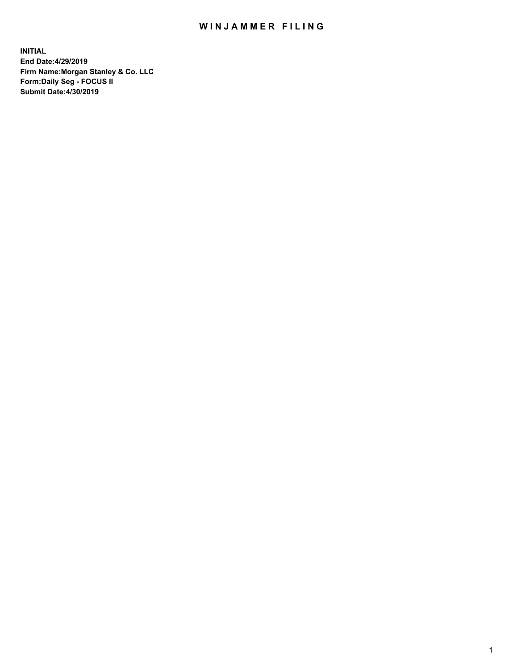## WIN JAMMER FILING

**INITIAL End Date:4/29/2019 Firm Name:Morgan Stanley & Co. LLC Form:Daily Seg - FOCUS II Submit Date:4/30/2019**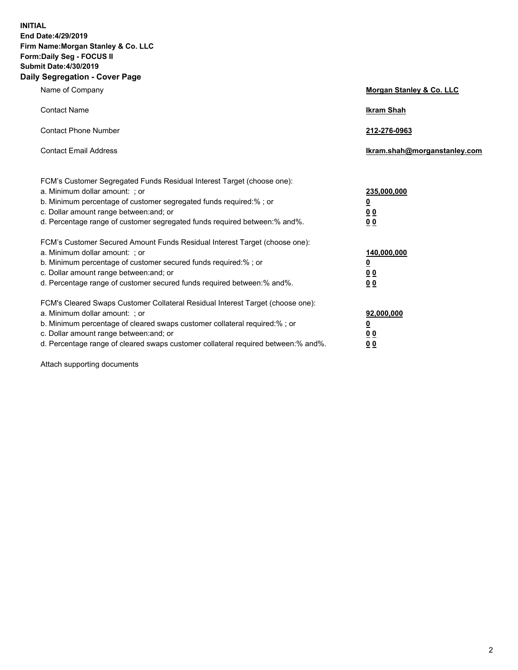**INITIAL End Date:4/29/2019 Firm Name:Morgan Stanley & Co. LLC Form:Daily Seg - FOCUS II Submit Date:4/30/2019 Daily Segregation - Cover Page**

| Name of Company                                                                   | Morgan Stanley & Co. LLC     |
|-----------------------------------------------------------------------------------|------------------------------|
| <b>Contact Name</b>                                                               | <b>Ikram Shah</b>            |
| <b>Contact Phone Number</b>                                                       | 212-276-0963                 |
| <b>Contact Email Address</b>                                                      | Ikram.shah@morganstanley.com |
| FCM's Customer Segregated Funds Residual Interest Target (choose one):            |                              |
| a. Minimum dollar amount: ; or                                                    | 235,000,000                  |
| b. Minimum percentage of customer segregated funds required:% ; or                | <u>0</u>                     |
| c. Dollar amount range between: and; or                                           | <u>0 0</u>                   |
| d. Percentage range of customer segregated funds required between: % and %.       | 00                           |
| FCM's Customer Secured Amount Funds Residual Interest Target (choose one):        |                              |
| a. Minimum dollar amount: ; or                                                    | 140,000,000                  |
| b. Minimum percentage of customer secured funds required:%; or                    | <u>0</u>                     |
| c. Dollar amount range between: and; or                                           | 0 <sub>0</sub>               |
| d. Percentage range of customer secured funds required between:% and%.            | 0 <sub>0</sub>               |
| FCM's Cleared Swaps Customer Collateral Residual Interest Target (choose one):    |                              |
| a. Minimum dollar amount: ; or                                                    | 92,000,000                   |
| b. Minimum percentage of cleared swaps customer collateral required:% ; or        | <u>0</u>                     |
| c. Dollar amount range between: and; or                                           | 0 Q                          |
| d. Percentage range of cleared swaps customer collateral required between:% and%. | 00                           |

Attach supporting documents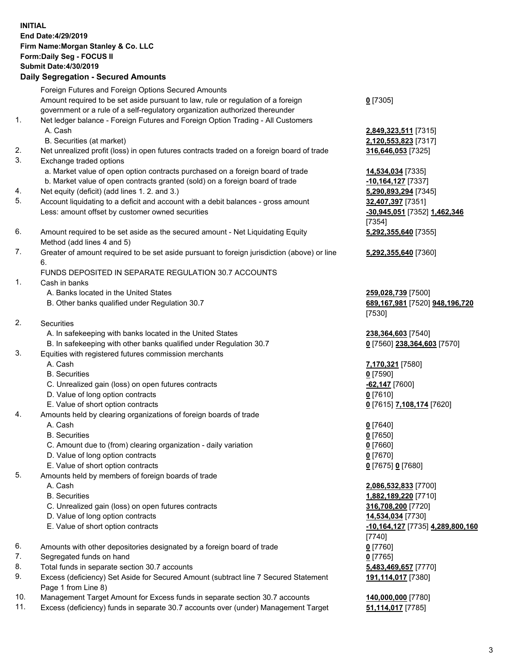## **INITIAL End Date:4/29/2019 Firm Name:Morgan Stanley & Co. LLC Form:Daily Seg - FOCUS II Submit Date:4/30/2019 Daily Segregation - Secured Amounts** Foreign Futures and Foreign Options Secured Amounts Amount required to be set aside pursuant to law, rule or regulation of a foreign government or a rule of a self-regulatory organization authorized thereunder **0** [7305] 1. Net ledger balance - Foreign Futures and Foreign Option Trading - All Customers A. Cash **2,849,323,511** [7315] B. Securities (at market) **2,120,553,823** [7317] 2. Net unrealized profit (loss) in open futures contracts traded on a foreign board of trade **316,646,053** [7325] 3. Exchange traded options a. Market value of open option contracts purchased on a foreign board of trade **14,534,034** [7335] b. Market value of open contracts granted (sold) on a foreign board of trade **-10,164,127** [7337] 4. Net equity (deficit) (add lines 1. 2. and 3.) **5,290,893,294** [7345] 5. Account liquidating to a deficit and account with a debit balances - gross amount **32,407,397** [7351] Less: amount offset by customer owned securities **-30,945,051** [7352] **1,462,346** [7354] 6. Amount required to be set aside as the secured amount - Net Liquidating Equity Method (add lines 4 and 5) 7. Greater of amount required to be set aside pursuant to foreign jurisdiction (above) or line 6. FUNDS DEPOSITED IN SEPARATE REGULATION 30.7 ACCOUNTS 1. Cash in banks A. Banks located in the United States **259,028,739** [7500] B. Other banks qualified under Regulation 30.7 **689,167,981** [7520] **948,196,720** [7530] 2. Securities A. In safekeeping with banks located in the United States **238,364,603** [7540] B. In safekeeping with other banks qualified under Regulation 30.7 **0** [7560] **238,364,603** [7570] 3. Equities with registered futures commission merchants A. Cash **7,170,321** [7580] B. Securities **0** [7590] C. Unrealized gain (loss) on open futures contracts **-62,147** [7600] D. Value of long option contracts **0** [7610] E. Value of short option contracts **0** [7615] **7,108,174** [7620] 4. Amounts held by clearing organizations of foreign boards of trade A. Cash **0** [7640] B. Securities **0** [7650] C. Amount due to (from) clearing organization - daily variation **0** [7660] D. Value of long option contracts **0** [7670] E. Value of short option contracts **0** [7675] **0** [7680] 5. Amounts held by members of foreign boards of trade A. Cash **2,086,532,833** [7700] B. Securities **1,882,189,220** [7710] C. Unrealized gain (loss) on open futures contracts **316,708,200** [7720] D. Value of long option contracts **14,534,034** [7730] E. Value of short option contracts **-10,164,127** [7735] **4,289,800,160** [7740] 6. Amounts with other depositories designated by a foreign board of trade **0** [7760] 7. Segregated funds on hand **0** [7765] 8. Total funds in separate section 30.7 accounts **5,483,469,657** [7770]

- 9. Excess (deficiency) Set Aside for Secured Amount (subtract line 7 Secured Statement Page 1 from Line 8)
- 10. Management Target Amount for Excess funds in separate section 30.7 accounts **140,000,000** [7780]
- 11. Excess (deficiency) funds in separate 30.7 accounts over (under) Management Target **51,114,017** [7785]

**5,292,355,640** [7355]

**5,292,355,640** [7360]

**191,114,017** [7380]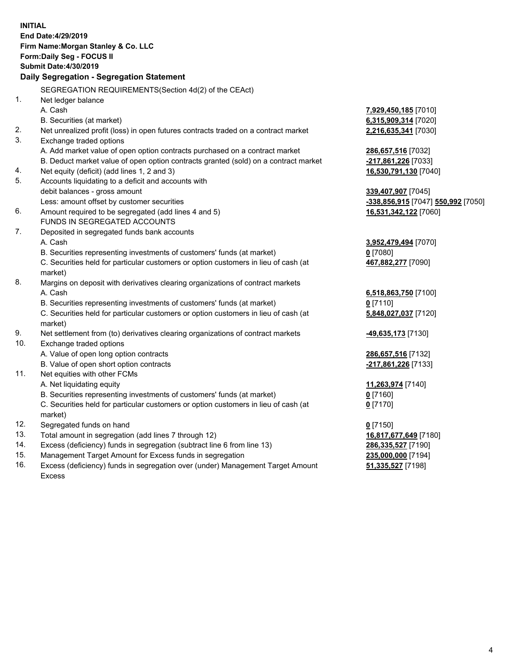|     | <b>INITIAL</b>                                                                      |                                    |
|-----|-------------------------------------------------------------------------------------|------------------------------------|
|     | End Date: 4/29/2019                                                                 |                                    |
|     | Firm Name: Morgan Stanley & Co. LLC                                                 |                                    |
|     | <b>Form:Daily Seg - FOCUS II</b>                                                    |                                    |
|     | <b>Submit Date:4/30/2019</b>                                                        |                                    |
|     | Daily Segregation - Segregation Statement                                           |                                    |
|     | SEGREGATION REQUIREMENTS (Section 4d(2) of the CEAct)                               |                                    |
| 1.  | Net ledger balance                                                                  |                                    |
|     | A. Cash                                                                             | <u>7,929,450,185</u> [7010]        |
|     | B. Securities (at market)                                                           | 6,315,909,314 [7020]               |
| 2.  | Net unrealized profit (loss) in open futures contracts traded on a contract market  | 2,216,635,341 [7030]               |
| 3.  | Exchange traded options                                                             |                                    |
|     | A. Add market value of open option contracts purchased on a contract market         | 286,657,516 [7032]                 |
|     | B. Deduct market value of open option contracts granted (sold) on a contract market | -217,861,226 [7033]                |
| 4.  | Net equity (deficit) (add lines 1, 2 and 3)                                         | <u>16,530,791,130</u> [7040]       |
| 5.  | Accounts liquidating to a deficit and accounts with                                 |                                    |
|     | debit balances - gross amount                                                       | 339,407,907 [7045]                 |
|     | Less: amount offset by customer securities                                          | -338,856,915 [7047] 550,992 [7050] |
| 6.  | Amount required to be segregated (add lines 4 and 5)                                | 16,531,342,122 [7060]              |
|     | <b>FUNDS IN SEGREGATED ACCOUNTS</b>                                                 |                                    |
| 7.  | Deposited in segregated funds bank accounts                                         |                                    |
|     | A. Cash                                                                             | <u>3,952,479,494</u> [7070]        |
|     | B. Securities representing investments of customers' funds (at market)              | 0 [7080]                           |
|     | C. Securities held for particular customers or option customers in lieu of cash (at | 467,882,277 [7090]                 |
|     | market)                                                                             |                                    |
| 8.  | Margins on deposit with derivatives clearing organizations of contract markets      |                                    |
|     | A. Cash                                                                             | 6,518,863,750 [7100]               |
|     | B. Securities representing investments of customers' funds (at market)              | $0$ [7110]                         |
|     | C. Securities held for particular customers or option customers in lieu of cash (at | 5,848,027,037 [7120]               |
|     | market)                                                                             |                                    |
| 9.  | Net settlement from (to) derivatives clearing organizations of contract markets     | <u>-49,635,173</u> [7130]          |
| 10. | Exchange traded options                                                             |                                    |
|     | A. Value of open long option contracts                                              | 286,657,516 [7132]                 |
|     | B. Value of open short option contracts                                             | -217,861,226 [7133]                |
| 11. | Net equities with other FCMs                                                        |                                    |
|     | A. Net liquidating equity                                                           | <u>11,263,974</u> [7140]           |
|     | B. Securities representing investments of customers' funds (at market)              | $0$ [7160]                         |
|     | C. Securities held for particular customers or option customers in lieu of cash (at | 0 <sup>[7170]</sup>                |
|     | market)                                                                             |                                    |
| 12. | Segregated funds on hand                                                            | $0$ [7150]                         |
| 13. | Total amount in segregation (add lines 7 through 12)                                | 16,817,677,649 [7180]              |
| 14. | Excess (deficiency) funds in segregation (subtract line 6 from line 13)             | 286,335,527 [7190]                 |
| 15. | Management Target Amount for Excess funds in segregation                            | 235,000,000 [7194]                 |

16. Excess (deficiency) funds in segregation over (under) Management Target Amount Excess

**51,335,527** [7198]